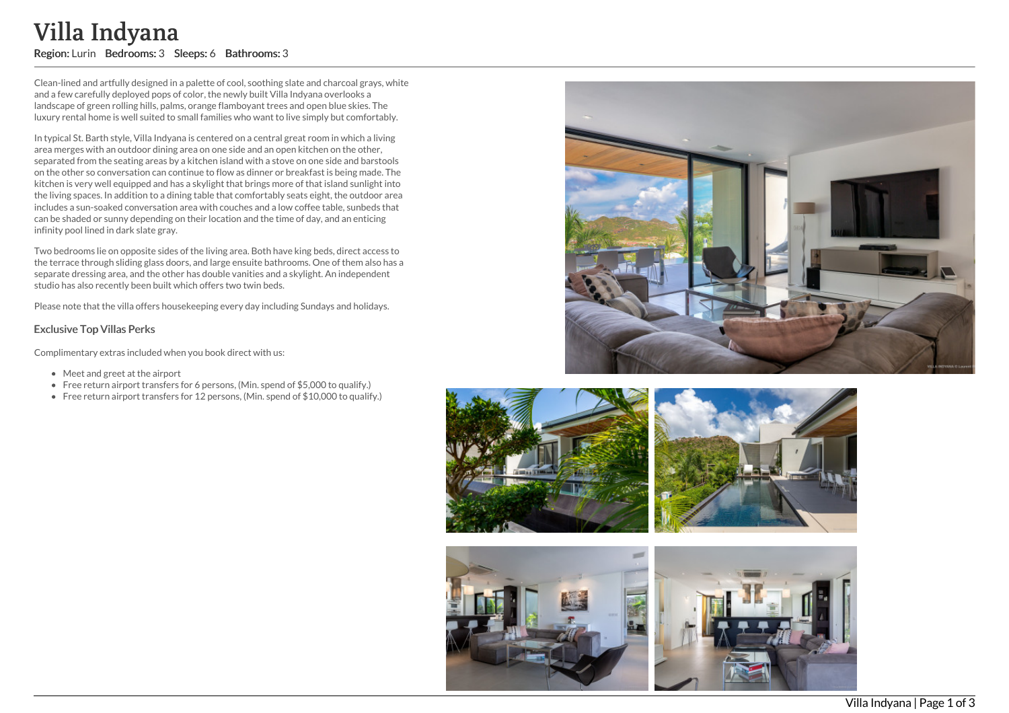## Villa Indyana

Region: Lurin Bedrooms: 3 Sleeps: 6 Bathrooms: 3

Clean-lined and artfully designed in a palette of cool, soothing slate and charcoal grays, white and a few carefully deployed pops of color, the newly built Villa Indyana overlooks a landscape of green rolling hills, palms, orange flamboyant trees and open blue skies. The luxury rental home is well suited to small families who want to live simply but comfortably.

In typical St. Barth style, Villa Indyana is centered on a central great room in which a living area merges with an outdoor dining area on one side and an open kitchen on the other, separated from the seating areas by a kitchen island with a stove on one side and barstools on the other so conversation can continue to flow as dinner or breakfast is being made. The kitchen is very well equipped and has a skylight that brings more of that island sunlight into the living spaces. In addition to a dining table that comfortably seats eight, the outdoor area includes a sun-soaked conversation area with couches and a low coffee table, sunbeds that can be shaded or sunny depending on their location and the time of day, and an enticing infinity pool lined in dark slate gray.

Two bedrooms lie on opposite sides of the living area. Both have king beds, direct access to the terrace through sliding glass doors, and large ensuite bathrooms. One of them also has a separate dressing area, and the other has double vanities and a skylight. An independent studio has also recently been built which offers two twin beds.

Please note that the villa offers housekeeping every day including Sundays and holidays.

## Exclusive Top Villas Perks

Complimentary extras included when you book direct with us:

- Meet and greet at the airport
- Free return airport transfers for 6 persons, (Min. spend of \$5,000 to qualify.)
- Free return airport transfers for 12 persons, (Min. spend of \$10,000 to qualify.)



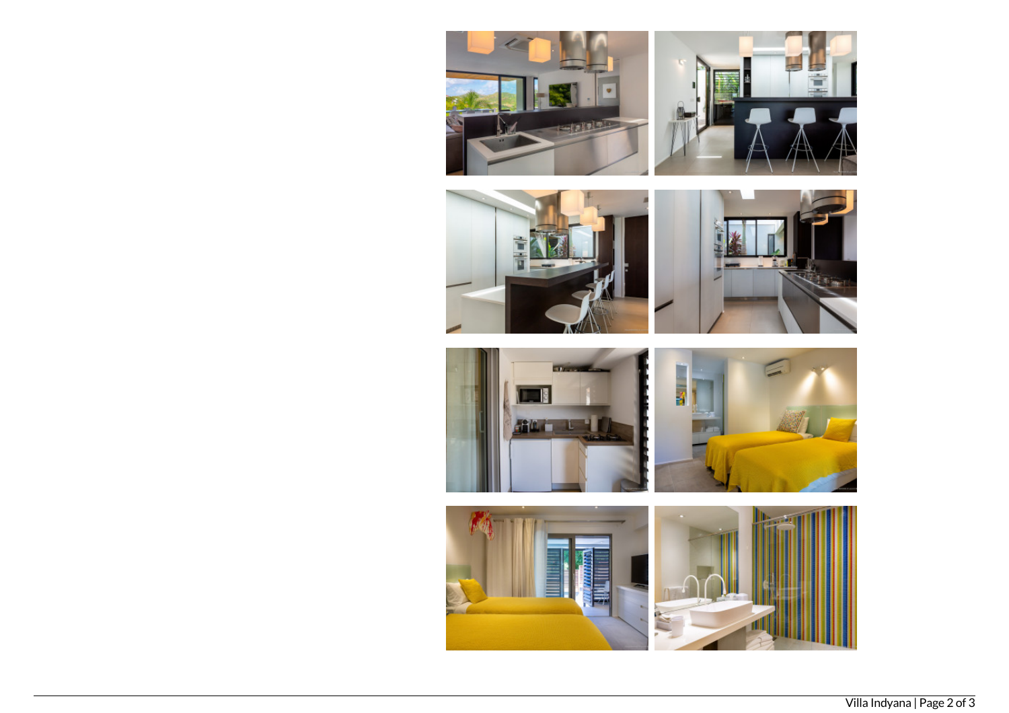